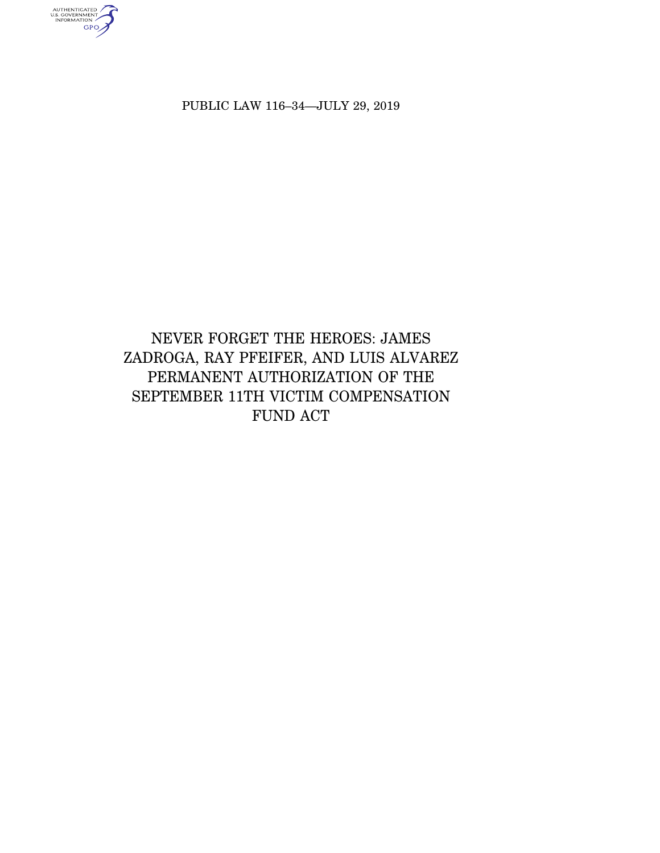PUBLIC LAW 116-34-JULY 29, 2019

authenticated<br>u.s. government<br>information<br>GPO

# NEVER FORGET THE HEROES: JAMES ZADROGA, RAY PFEIFER, AND LUIS ALVAREZ PERMANENT AUTHORIZATION OF THE SEPTEMBER 11TH VICTIM COMPENSATION **FUND ACT**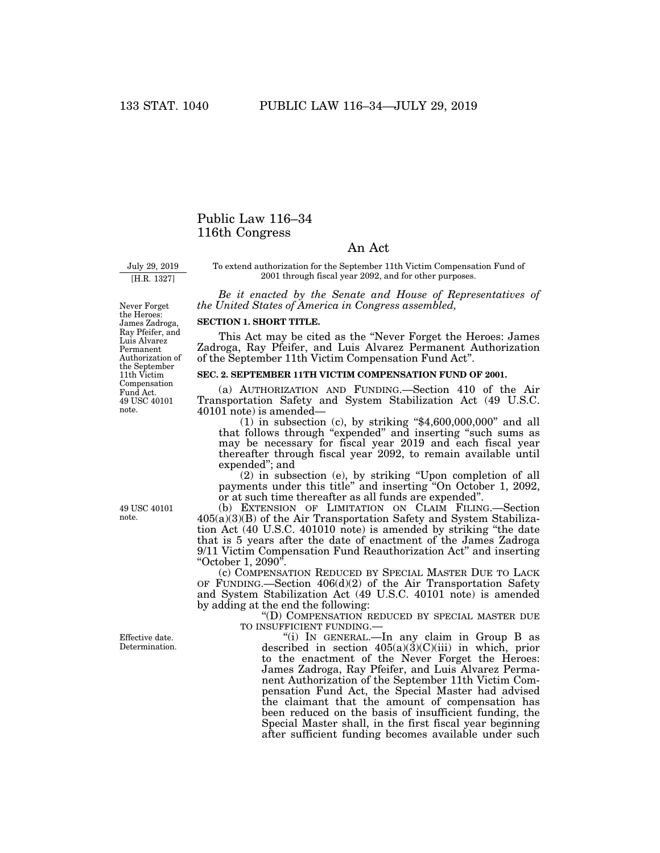# Public Law 116–34 116th Congress

# An Act

July 29, 2019

[H.R. 1327]

To extend authorization for the September 11th Victim Compensation Fund of 2001 through fiscal year 2092, and for other purposes.

*Be it enacted by the Senate and House of Representatives of the United States of America in Congress assembled,* 

## **SECTION 1. SHORT TITLE.**

This Act may be cited as the ''Never Forget the Heroes: James Zadroga, Ray Pfeifer, and Luis Alvarez Permanent Authorization of the September 11th Victim Compensation Fund Act''.

#### **SEC. 2. SEPTEMBER 11TH VICTIM COMPENSATION FUND OF 2001.**

(a) AUTHORIZATION AND FUNDING.—Section 410 of the Air Transportation Safety and System Stabilization Act (49 U.S.C. 40101 note) is amended—

(1) in subsection (c), by striking " $$4,600,000,000"$  and all that follows through ''expended'' and inserting ''such sums as may be necessary for fiscal year 2019 and each fiscal year thereafter through fiscal year 2092, to remain available until expended''; and

(2) in subsection (e), by striking ''Upon completion of all payments under this title'' and inserting ''On October 1, 2092, or at such time thereafter as all funds are expended''.

(b) EXTENSION OF LIMITATION ON CLAIM FILING.—Section 405(a)(3)(B) of the Air Transportation Safety and System Stabilization Act (40 U.S.C. 401010 note) is amended by striking ''the date that is 5 years after the date of enactment of the James Zadroga 9/11 Victim Compensation Fund Reauthorization Act'' and inserting ''October 1, 2090''.

(c) COMPENSATION REDUCED BY SPECIAL MASTER DUE TO LACK OF FUNDING.—Section 406(d)(2) of the Air Transportation Safety and System Stabilization Act (49 U.S.C. 40101 note) is amended by adding at the end the following:

> ''(D) COMPENSATION REDUCED BY SPECIAL MASTER DUE TO INSUFFICIENT FUNDING.—

''(i) IN GENERAL.—In any claim in Group B as described in section  $405(a)(3)(C)(iii)$  in which, prior to the enactment of the Never Forget the Heroes: James Zadroga, Ray Pfeifer, and Luis Alvarez Permanent Authorization of the September 11th Victim Compensation Fund Act, the Special Master had advised the claimant that the amount of compensation has been reduced on the basis of insufficient funding, the Special Master shall, in the first fiscal year beginning after sufficient funding becomes available under such

49 USC 40101 note.

Effective date. Determination.

Never Forget the Heroes: James Zadroga, Ray Pfeifer, and Luis Alvarez Permanent Authorization of the September 11th Victim Compensation Fund Act. 49 USC 40101 note.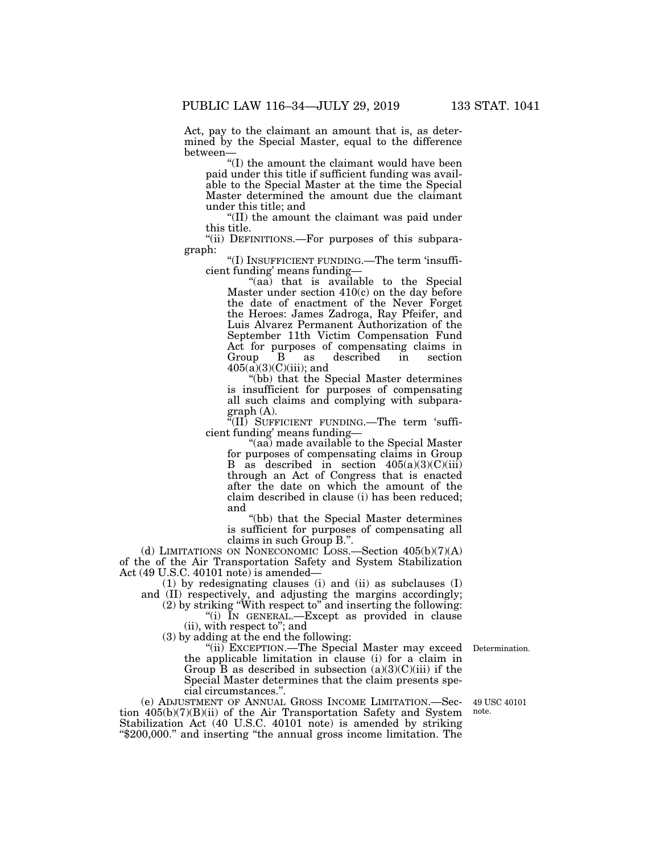Act, pay to the claimant an amount that is, as determined by the Special Master, equal to the difference between—

''(I) the amount the claimant would have been paid under this title if sufficient funding was available to the Special Master at the time the Special Master determined the amount due the claimant under this title; and

''(II) the amount the claimant was paid under this title.

''(ii) DEFINITIONS.—For purposes of this subparagraph:

''(I) INSUFFICIENT FUNDING.—The term 'insufficient funding' means funding—

"(aa) that is available to the Special Master under section 410(c) on the day before the date of enactment of the Never Forget the Heroes: James Zadroga, Ray Pfeifer, and Luis Alvarez Permanent Authorization of the September 11th Victim Compensation Fund Act for purposes of compensating claims in Group B as described in section  $405(a)(3)(C)(iii)$ ; and

''(bb) that the Special Master determines is insufficient for purposes of compensating all such claims and complying with subparagraph (A).

 $\sqrt[\text{H}]{(II)}$  SUFFICIENT FUNDING.—The term 'sufficient funding' means funding—

''(aa) made available to the Special Master for purposes of compensating claims in Group B as described in section  $405(a)(3)(C)(iii)$ through an Act of Congress that is enacted after the date on which the amount of the claim described in clause (i) has been reduced; and

''(bb) that the Special Master determines is sufficient for purposes of compensating all claims in such Group B.''.

(d) LIMITATIONS ON NONECONOMIC LOSS.—Section  $405(b)(7)(A)$ of the of the Air Transportation Safety and System Stabilization Act (49 U.S.C. 40101 note) is amended—

(1) by redesignating clauses (i) and (ii) as subclauses (I) and (II) respectively, and adjusting the margins accordingly;

(2) by striking ''With respect to'' and inserting the following: ''(i) IN GENERAL.—Except as provided in clause

(ii), with respect to''; and

(3) by adding at the end the following:

"(ii) EXCEPTION.—The Special Master may exceed Determination. the applicable limitation in clause (i) for a claim in Group  $\hat{B}$  as described in subsection  $(a)(3)(C)(iii)$  if the Special Master determines that the claim presents special circumstances.''.

(e) ADJUSTMENT OF ANNUAL GROSS INCOME LIMITATION.—Section  $405(b)(7)(B)(ii)$  of the Air Transportation Safety and System Stabilization Act (40 U.S.C. 40101 note) is amended by striking ''\$200,000.'' and inserting ''the annual gross income limitation. The

49 USC 40101 note.